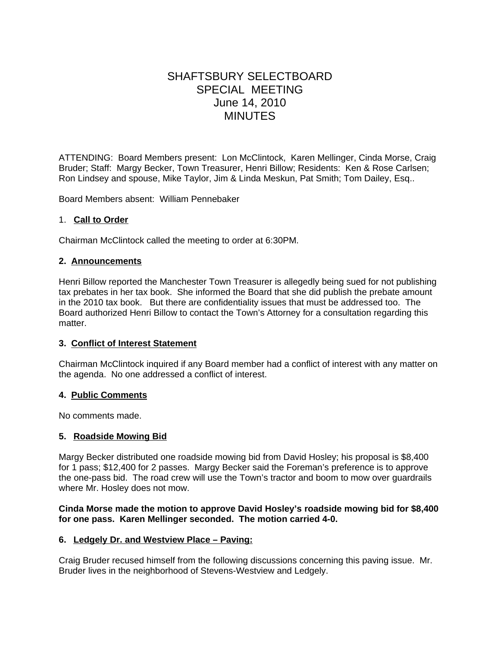# SHAFTSBURY SELECTBOARD SPECIAL MEETING June 14, 2010 MINUTES

ATTENDING: Board Members present: Lon McClintock, Karen Mellinger, Cinda Morse, Craig Bruder; Staff: Margy Becker, Town Treasurer, Henri Billow; Residents: Ken & Rose Carlsen; Ron Lindsey and spouse, Mike Taylor, Jim & Linda Meskun, Pat Smith; Tom Dailey, Esq..

Board Members absent: William Pennebaker

# 1. **Call to Order**

Chairman McClintock called the meeting to order at 6:30PM.

# **2. Announcements**

Henri Billow reported the Manchester Town Treasurer is allegedly being sued for not publishing tax prebates in her tax book. She informed the Board that she did publish the prebate amount in the 2010 tax book. But there are confidentiality issues that must be addressed too. The Board authorized Henri Billow to contact the Town's Attorney for a consultation regarding this matter.

#### **3. Conflict of Interest Statement**

Chairman McClintock inquired if any Board member had a conflict of interest with any matter on the agenda. No one addressed a conflict of interest.

#### **4. Public Comments**

No comments made.

#### **5. Roadside Mowing Bid**

Margy Becker distributed one roadside mowing bid from David Hosley; his proposal is \$8,400 for 1 pass; \$12,400 for 2 passes. Margy Becker said the Foreman's preference is to approve the one-pass bid. The road crew will use the Town's tractor and boom to mow over guardrails where Mr. Hosley does not mow.

#### **Cinda Morse made the motion to approve David Hosley's roadside mowing bid for \$8,400 for one pass. Karen Mellinger seconded. The motion carried 4-0.**

#### **6. Ledgely Dr. and Westview Place – Paving:**

Craig Bruder recused himself from the following discussions concerning this paving issue. Mr. Bruder lives in the neighborhood of Stevens-Westview and Ledgely.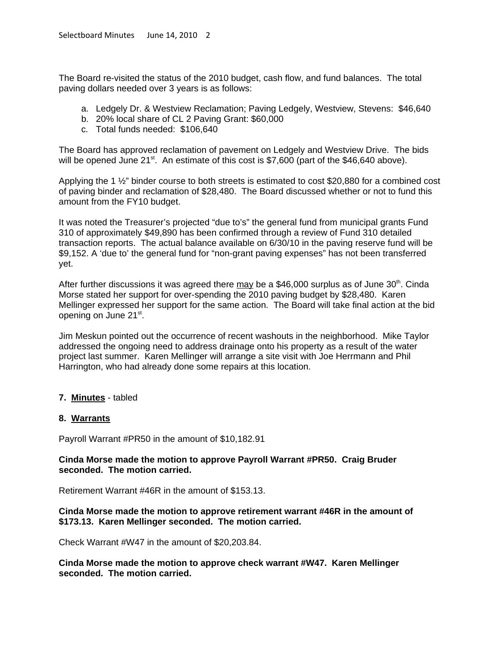The Board re-visited the status of the 2010 budget, cash flow, and fund balances. The total paving dollars needed over 3 years is as follows:

- a. Ledgely Dr. & Westview Reclamation; Paving Ledgely, Westview, Stevens: \$46,640
- b. 20% local share of CL 2 Paving Grant: \$60,000
- c. Total funds needed: \$106,640

The Board has approved reclamation of pavement on Ledgely and Westview Drive. The bids will be opened June  $21^{st}$ . An estimate of this cost is \$7,600 (part of the \$46,640 above).

Applying the 1 ½" binder course to both streets is estimated to cost \$20,880 for a combined cost of paving binder and reclamation of \$28,480. The Board discussed whether or not to fund this amount from the FY10 budget.

It was noted the Treasurer's projected "due to's" the general fund from municipal grants Fund 310 of approximately \$49,890 has been confirmed through a review of Fund 310 detailed transaction reports. The actual balance available on 6/30/10 in the paving reserve fund will be \$9,152. A 'due to' the general fund for "non-grant paving expenses" has not been transferred yet.

After further discussions it was agreed there may be a \$46,000 surplus as of June  $30<sup>th</sup>$ . Cinda Morse stated her support for over-spending the 2010 paving budget by \$28,480. Karen Mellinger expressed her support for the same action. The Board will take final action at the bid opening on June 21st.

Jim Meskun pointed out the occurrence of recent washouts in the neighborhood. Mike Taylor addressed the ongoing need to address drainage onto his property as a result of the water project last summer. Karen Mellinger will arrange a site visit with Joe Herrmann and Phil Harrington, who had already done some repairs at this location.

#### **7. Minutes** - tabled

#### **8. Warrants**

Payroll Warrant #PR50 in the amount of \$10,182.91

# **Cinda Morse made the motion to approve Payroll Warrant #PR50. Craig Bruder seconded. The motion carried.**

Retirement Warrant #46R in the amount of \$153.13.

# **Cinda Morse made the motion to approve retirement warrant #46R in the amount of \$173.13. Karen Mellinger seconded. The motion carried.**

Check Warrant #W47 in the amount of \$20,203.84.

**Cinda Morse made the motion to approve check warrant #W47. Karen Mellinger seconded. The motion carried.**